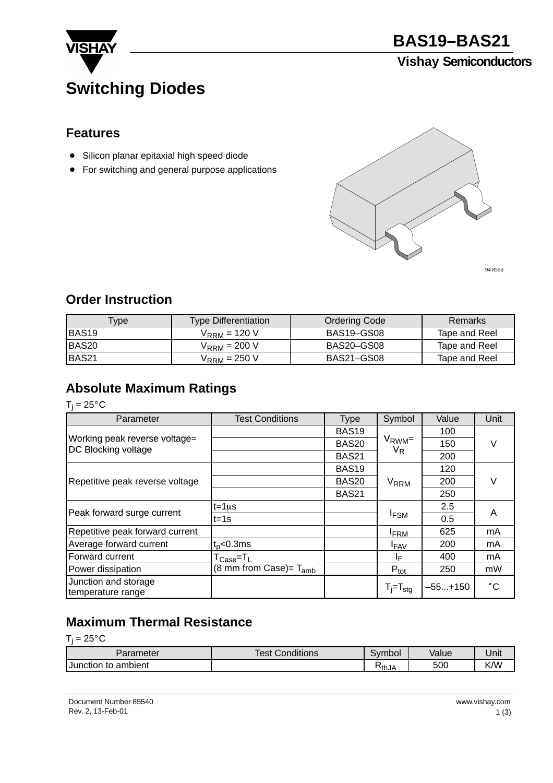

**BAS19–BAS21**

## **Vishay Semiconductors**

## **Switching Diodes**

#### **Features**

- **Silicon planar epitaxial high speed diode**
- For switching and general purpose applications



94 8550

#### **Order Instruction**

| Vpe : | <b>Type Differentiation</b> | <b>Ordering Code</b> | Remarks       |
|-------|-----------------------------|----------------------|---------------|
| BAS19 | $V_{\text{RRM}}$ = 120 V    | BAS19–GS08           | Tape and Reel |
| BAS20 | $V_{\rm{RRM}}$ = 200 V      | BAS20-GS08           | Tape and Reel |
| BAS21 | $V_{\rm{RRM}}$ = 250 V      | <b>BAS21-GS08</b>    | Tape and Reel |

## **Absolute Maximum Ratings**

 $T_j = 25^{\circ}C$ 

| Parameter                                            | <b>Test Conditions</b>                                   | <b>Type</b>       | Symbol                   | Value     | Unit         |  |
|------------------------------------------------------|----------------------------------------------------------|-------------------|--------------------------|-----------|--------------|--|
|                                                      |                                                          | <b>BAS19</b>      |                          | 100       |              |  |
| Working peak reverse voltage=<br>DC Blocking voltage |                                                          | <b>BAS20</b>      | $V_{\rm RWM}$ =<br>$V_R$ | 150       | V            |  |
|                                                      |                                                          | <b>BAS21</b>      |                          | 200       |              |  |
|                                                      |                                                          | <b>BAS19</b>      |                          | 120       | V            |  |
| Repetitive peak reverse voltage                      |                                                          | <b>BAS20</b>      | <b>V<sub>RRM</sub></b>   | 200       |              |  |
|                                                      |                                                          | BAS <sub>21</sub> |                          | 250       |              |  |
|                                                      | $t = 1 \mu s$                                            |                   |                          | 2.5       |              |  |
| Peak forward surge current                           | $t = 1s$                                                 |                   | <sup>1</sup> FSM         | 0.5       | A            |  |
| Repetitive peak forward current                      |                                                          |                   | <b>FRM</b>               | 625       | mA           |  |
| Average forward current                              | $t_0$ <0.3ms                                             |                   | <b>IFAV</b>              | 200       | mA           |  |
| Forward current                                      | $\mathsf{T}_{\mathsf{Case}}\!\!=\!\mathsf{T}_\mathsf{L}$ |                   | ΙF                       | 400       | mA           |  |
| Power dissipation                                    | (8 mm from Case)= $T_{amb}$                              |                   | $P_{\text{tot}}$         | 250       | mW           |  |
| Junction and storage<br>temperature range            |                                                          |                   | $T_i = T_{\text{stq}}$   | $-55+150$ | $^{\circ}$ C |  |

## **Maximum Thermal Resistance**

 $T_j = 25^\circ \text{C}$ 

| Parameter                  | $\mathbf{r}$<br>Test C<br>Conditions | Svmbol | Value | Unit |
|----------------------------|--------------------------------------|--------|-------|------|
| ı to ambient<br>⊺Junction⊹ |                                      | ≺ิthJA | 500   | K/W  |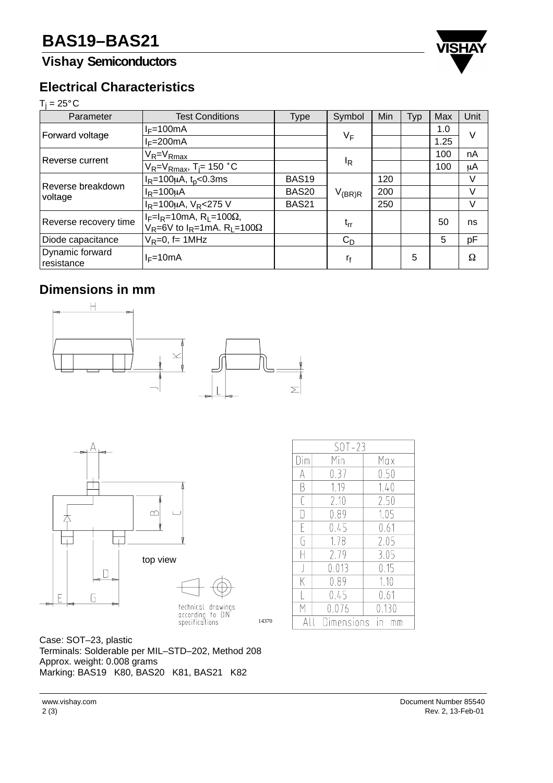## **Vishay Semiconductors**



#### **Electrical Characteristics**

# **Electri**<br>T<sub>j</sub> = 25°C

| Parameter                     | <b>Test Conditions</b>                                                                                   | <b>Type</b>       | Symbol      | Min | <b>Typ</b> | Max  | Unit |
|-------------------------------|----------------------------------------------------------------------------------------------------------|-------------------|-------------|-----|------------|------|------|
| Forward voltage               | $I_F = 100 \text{mA}$                                                                                    |                   |             |     |            | 1.0  | v    |
|                               | $I_F=200mA$                                                                                              |                   | $V_F$       |     |            | 1.25 |      |
| Reverse current               | $V_R = V_{Rmax}$                                                                                         |                   |             |     |            | 100  | nA   |
|                               | $V_R = V_{Rmax}$ , T <sub>j</sub> = 150 °C                                                               |                   | IR          |     |            | 100  | μA   |
| Reverse breakdown<br>voltage  | $I_R = 100 \mu A$ , t <sub>p</sub> <0.3ms                                                                | <b>BAS19</b>      |             | 120 |            |      | V    |
|                               | $I_R = 100 \mu A$                                                                                        | BAS <sub>20</sub> | $V_{(BR)R}$ | 200 |            |      | V    |
|                               | $I_R = 100 \mu A$ , $V_R < 275 V$                                                                        | <b>BAS21</b>      |             | 250 |            |      | V    |
| Reverse recovery time         | $I_F=I_R=10mA$ , R <sub>L</sub> =100 $\Omega$ ,<br>$V_R$ =6V to $I_R$ =1mA. R <sub>1</sub> =100 $\Omega$ |                   | $t_{rr}$    |     |            | 50   | ns   |
| Diode capacitance             | $V_R=0$ , f= 1MHz                                                                                        |                   | $C_D$       |     |            | 5    | pF   |
| Dynamic forward<br>resistance | $I_F=10mA$                                                                                               |                   | ľf          |     | 5          |      | Ω    |

### **Dimensions in mm**





technical drawings<br>according to DIN<br>specifications

14370

| $SOT-23$  |       |       |  |  |
|-----------|-------|-------|--|--|
| Dim       | Min   | Max   |  |  |
| A         | 0.37  | 0.50  |  |  |
| B         | 1.19  | 1.40  |  |  |
| ſ         | 2.10  | 2.50  |  |  |
| IJ        | 0.89  | 1.05  |  |  |
| F         | 0.45  | 0.61  |  |  |
| G         | 1.78  | 2.05  |  |  |
|           | 2.79  | 3.05  |  |  |
| ┦         | 0.013 | 0.15  |  |  |
| K         | 0.89  | 1.10  |  |  |
|           | 0.45  | 0.61  |  |  |
| Μ         | 0.076 | 0.130 |  |  |
| imensions |       |       |  |  |

Case: SOT–23, plastic Terminals: Solderable per MIL–STD–202, Method 208 Approx. weight: 0.008 grams Marking: BAS19 K80, BAS20 K81, BAS21 K82